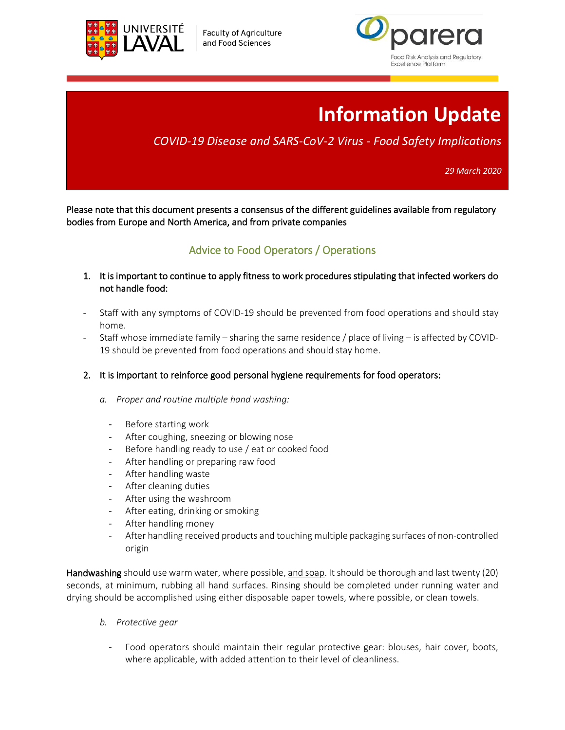

**Faculty of Agriculture** and Food Sciences



# **Information Update**

## *COVID-19 Disease and SARS-CoV-2 Virus - Food Safety Implications*

*29 March 2020*

Please note that this document presents a consensus of the different guidelines available from regulatory bodies from Europe and North America, and from private companies

### Advice to Food Operators / Operations

- 1. It is important to continue to apply fitness to work procedures stipulating that infected workers do not handle food:
- Staff with any symptoms of COVID-19 should be prevented from food operations and should stay home.
- Staff whose immediate family sharing the same residence / place of living is affected by COVID-19 should be prevented from food operations and should stay home.
- 2. It is important to reinforce good personal hygiene requirements for food operators:
	- *a. Proper and routine multiple hand washing:*
		- Before starting work
		- After coughing, sneezing or blowing nose
		- Before handling ready to use / eat or cooked food
		- After handling or preparing raw food
		- After handling waste
		- After cleaning duties
		- After using the washroom
		- After eating, drinking or smoking
		- After handling money
		- After handling received products and touching multiple packaging surfaces of non-controlled origin

Handwashing should use warm water, where possible, and soap. It should be thorough and last twenty (20) seconds, at minimum, rubbing all hand surfaces. Rinsing should be completed under running water and drying should be accomplished using either disposable paper towels, where possible, or clean towels.

- *b. Protective gear*
	- Food operators should maintain their regular protective gear: blouses, hair cover, boots, where applicable, with added attention to their level of cleanliness.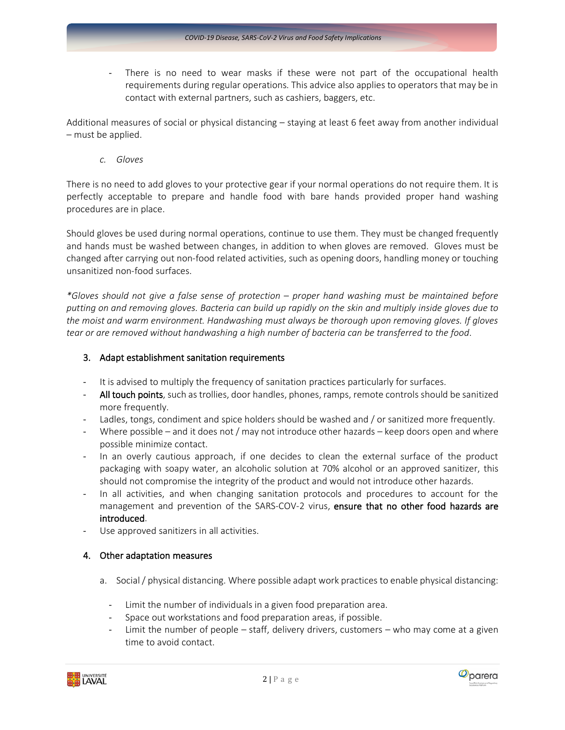There is no need to wear masks if these were not part of the occupational health requirements during regular operations. This advice also applies to operators that may be in contact with external partners, such as cashiers, baggers, etc.

Additional measures of social or physical distancing – staying at least 6 feet away from another individual – must be applied.

*c. Gloves*

There is no need to add gloves to your protective gear if your normal operations do not require them. It is perfectly acceptable to prepare and handle food with bare hands provided proper hand washing procedures are in place.

Should gloves be used during normal operations, continue to use them. They must be changed frequently and hands must be washed between changes, in addition to when gloves are removed. Gloves must be changed after carrying out non-food related activities, such as opening doors, handling money or touching unsanitized non-food surfaces.

*\*Gloves should not give a false sense of protection – proper hand washing must be maintained before* putting on and removing gloves. Bacteria can build up rapidly on the skin and multiply inside gloves due to *the moist and warm environment. Handwashing must always be thorough upon removing gloves. If gloves tear or are removed without handwashing a high number of bacteria can be transferred to the food*.

#### 3. Adapt establishment sanitation requirements

- It is advised to multiply the frequency of sanitation practices particularly for surfaces.
- All touch points, such as trollies, door handles, phones, ramps, remote controls should be sanitized more frequently.
- Ladles, tongs, condiment and spice holders should be washed and / or sanitized more frequently.
- Where possible and it does not / may not introduce other hazards keep doors open and where possible minimize contact.
- In an overly cautious approach, if one decides to clean the external surface of the product packaging with soapy water, an alcoholic solution at 70% alcohol or an approved sanitizer, this should not compromise the integrity of the product and would not introduce other hazards.
- In all activities, and when changing sanitation protocols and procedures to account for the management and prevention of the SARS-COV-2 virus, ensure that no other food hazards are introduced.
- Use approved sanitizers in all activities.

#### 4. Other adaptation measures

- a. Social / physical distancing. Where possible adapt work practices to enable physical distancing:
	- Limit the number of individuals in a given food preparation area.
	- Space out workstations and food preparation areas, if possible.
	- Limit the number of people staff, delivery drivers, customers who may come at a given time to avoid contact.



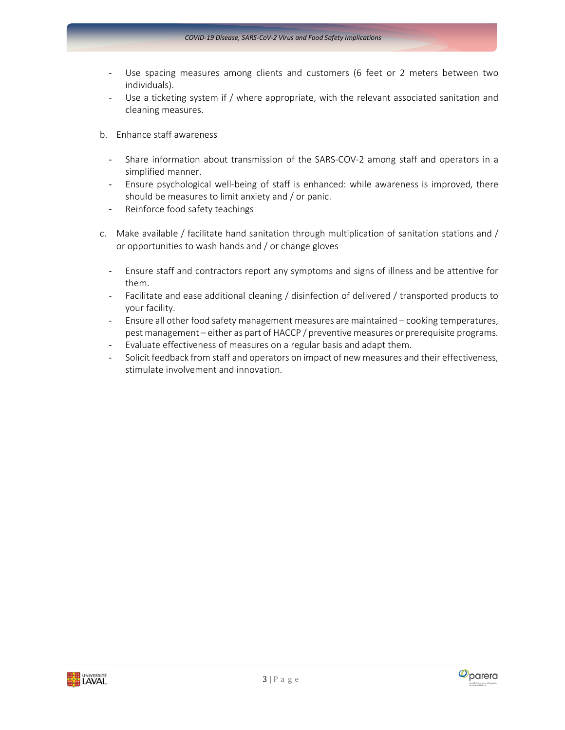- Use spacing measures among clients and customers (6 feet or 2 meters between two individuals).
- Use a ticketing system if / where appropriate, with the relevant associated sanitation and cleaning measures.
- b. Enhance staff awareness
	- Share information about transmission of the SARS-COV-2 among staff and operators in a simplified manner.
	- Ensure psychological well-being of staff is enhanced: while awareness is improved, there should be measures to limit anxiety and / or panic.
	- Reinforce food safety teachings
- c. Make available / facilitate hand sanitation through multiplication of sanitation stations and / or opportunities to wash hands and / or change gloves
	- Ensure staff and contractors report any symptoms and signs of illness and be attentive for them.
	- Facilitate and ease additional cleaning / disinfection of delivered / transported products to your facility.
	- Ensure all other food safety management measures are maintained cooking temperatures, pest management – either as part of HACCP / preventive measures or prerequisite programs.
	- Evaluate effectiveness of measures on a regular basis and adapt them.
	- Solicit feedback from staff and operators on impact of new measures and their effectiveness, stimulate involvement and innovation.